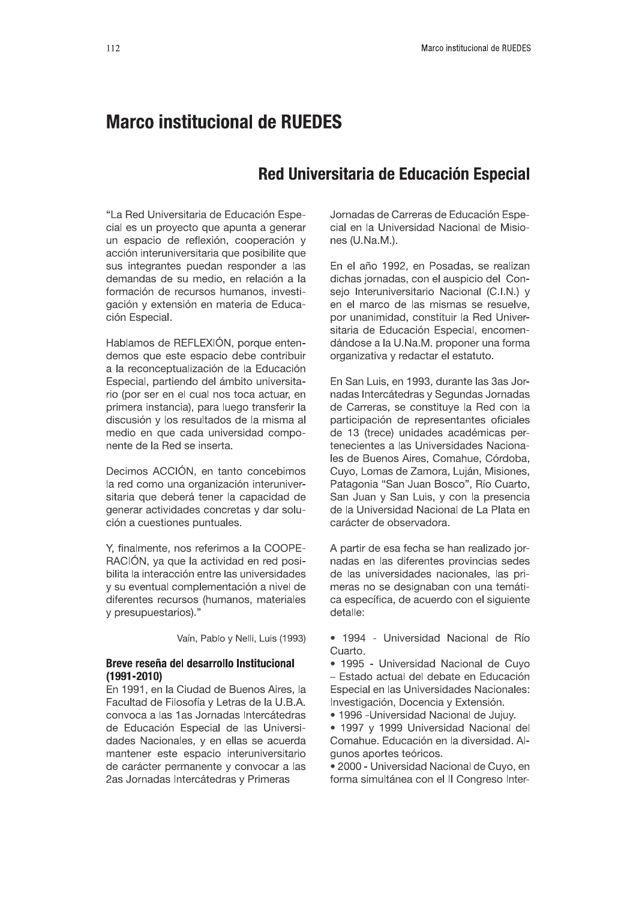# **Marco institucional de RUEDES**

# Red Universitaria de Educación Especial

"La Red Universitaria de Educación Especial es un proyecto que apunta a generar un espacio de reflexión, cooperación y acción interuniversitaria que posibilite que sus integrantes puedan responder a las demandas de su medio, en relación a la formación de recursos humanos, investigación y extensión en materia de Educación Especial.

Hablamos de REFLEXIÓN, porque entendemos que este espacio debe contribuir a la reconceptualización de la Educación Especial, partiendo del ámbito universitario (por ser en el cual nos toca actuar, en primera instancia), para luego transferir la discusión y los resultados de la misma al medio en que cada universidad componente de la Red se inserta.

Decimos ACCIÓN, en tanto concebimos la red como una organización interuniversitaria que deberá tener la capacidad de generar actividades concretas y dar solución a cuestiones puntuales.

Y, finalmente, nos referimos a la COOPE-RACIÓN, ya que la actividad en red posibilita la interacción entre las universidades y su eventual complementación a nivel de diferentes recursos (humanos, materiales y presupuestarios)."

Vaín, Pablo y Nelli, Luis (1993)

## Breve reseña del desarrollo Institucional  $(1991 - 2010)$

En 1991, en la Ciudad de Buenos Aires, la Facultad de Filosofía y Letras de la U.B.A. convoca a las 1 as Jornadas Intercátedras de Educación Especial de las Universidades Nacionales, y en ellas se acuerda mantener este espacio interuniversitario de carácter permanente y convocar a las 2as Jornadas Intercátedras y Primeras

Jornadas de Carreras de Educación Especial en la Universidad Nacional de Misiones (U.Na.M.).

En el año 1992, en Posadas, se realizan dichas jornadas, con el auspicio del Consejo Interuniversitario Nacional (C.I.N.) y en el marco de las mismas se resuelve, por unanimidad, constituir la Red Universitaria de Educación Especial, encomendándose a la U.Na.M. proponer una forma organizativa y redactar el estatuto.

En San Luis, en 1993, durante las 3as Jornadas Intercátedras y Segundas Jornadas de Carreras, se constituye la Red con la participación de representantes oficiales de 13 (trece) unidades académicas pertenecientes a las Universidades Nacionales de Buenos Aires, Comahue, Córdoba, Cuyo, Lomas de Zamora, Luján, Misiones, Patagonia "San Juan Bosco", Río Cuarto, San Juan y San Luis, y con la presencia de la Universidad Nacional de La Plata en carácter de observadora.

A partir de esa fecha se han realizado jornadas en las diferentes provincias sedes de las universidades nacionales. las primeras no se designaban con una temática específica, de acuerdo con el siguiente detalle:

- · 1994 Universidad Nacional de Río Cuarto.
- 1995 Universidad Nacional de Cuvo - Estado actual del debate en Educación Especial en las Universidades Nacionales: Investigación, Docencia y Extensión.
- · 1996 Universidad Nacional de Jujuy.
- · 1997 y 1999 Universidad Nacional del Comahue. Educación en la diversidad. Algunos aportes teóricos.

· 2000 - Universidad Nacional de Cuyo, en forma simultánea con el II Congreso Inter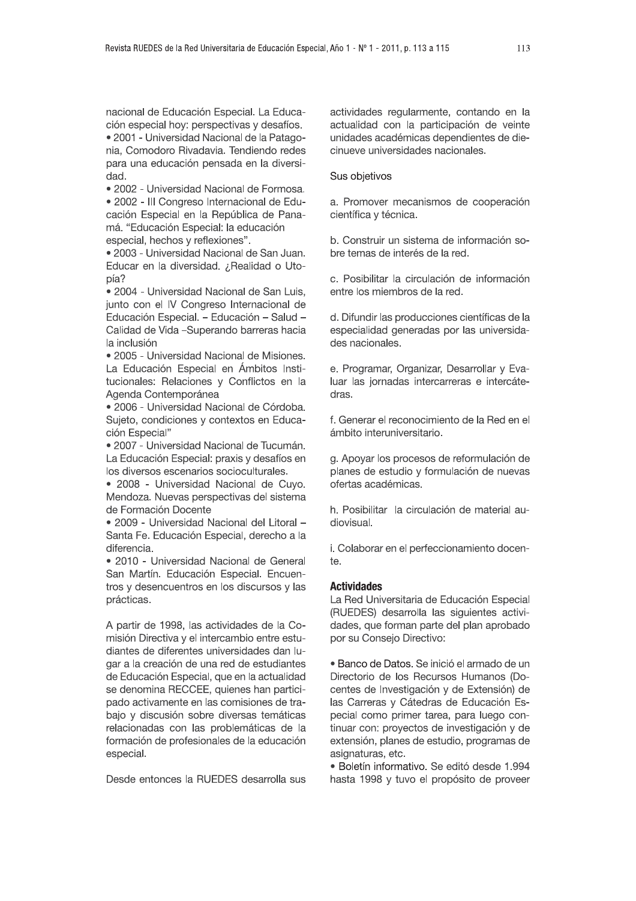nacional de Educación Especial. La Educación especial hoy: perspectivas y desafíos.

· 2001 - Universidad Nacional de la Patagonia. Comodoro Rivadavia. Tendiendo redes para una educación pensada en la diversidad.

· 2002 - Universidad Nacional de Formosa.

• 2002 - III Congreso Internacional de Educación Especial en la República de Panamá. "Educación Especial: la educación especial, hechos y reflexiones".

· 2003 - Universidad Nacional de San Juan. Educar en la diversidad. ¿Realidad o Utopía?

• 2004 - Universidad Nacional de San Luis. junto con el IV Congreso Internacional de Educación Especial. - Educación - Salud -Calidad de Vida -Superando barreras hacia la inclusión

· 2005 - Universidad Nacional de Misiones. La Educación Especial en Ámbitos Institucionales: Relaciones y Conflictos en la Agenda Contemporánea

· 2006 - Universidad Nacional de Córdoba. Sujeto, condiciones y contextos en Educación Especial"

· 2007 - Universidad Nacional de Tucumán. La Educación Especial: praxis y desafíos en los diversos escenarios socioculturales.

· 2008 - Universidad Nacional de Cuyo. Mendoza. Nuevas perspectivas del sistema de Formación Docente

• 2009 - Universidad Nacional del Litoral -Santa Fe. Educación Especial, derecho a la diferencia.

• 2010 - Universidad Nacional de General San Martín, Educación Especial, Encuentros y desencuentros en los discursos y las prácticas.

A partir de 1998, las actividades de la Comisión Directiva y el intercambio entre estudiantes de diferentes universidades dan lugar a la creación de una red de estudiantes de Educación Especial, que en la actualidad se denomina RECCEE, quienes han participado activamente en las comisiones de trabajo y discusión sobre diversas temáticas relacionadas con las problemáticas de la formación de profesionales de la educación especial.

Desde entonces la RUEDES desarrolla sus

actividades regularmente, contando en la actualidad con la participación de veinte unidades académicas dependientes de diecinueve universidades nacionales.

Sus objetivos

a. Promover mecanismos de cooperación científica y técnica.

b. Construir un sistema de información sobre temas de interés de la red.

c. Posibilitar la circulación de información entre los miembros de la red.

d. Difundir las producciones científicas de la especialidad generadas por las universidades nacionales.

e. Programar, Organizar, Desarrollar y Evaluar las jornadas intercarreras e intercátedras.

f. Generar el reconocimiento de la Red en el ámbito interuniversitario.

g. Apoyar los procesos de reformulación de planes de estudio y formulación de nuevas ofertas académicas.

h. Posibilitar la circulación de material audiovisual.

i. Colaborar en el perfeccionamiento docen- $\uparrow$ 

#### **Actividades**

La Red Universitaria de Educación Especial (RUEDES) desarrolla las siguientes actividades, que forman parte del plan aprobado por su Consejo Directivo:

· Banco de Datos. Se inició el armado de un Directorio de los Recursos Humanos (Docentes de Investigación y de Extensión) de las Carreras y Cátedras de Educación Especial como primer tarea, para luego continuar con: proyectos de investigación y de extensión, planes de estudio, programas de asignaturas, etc.

· Boletín informativo. Se editó desde 1.994 hasta 1998 y tuvo el propósito de proveer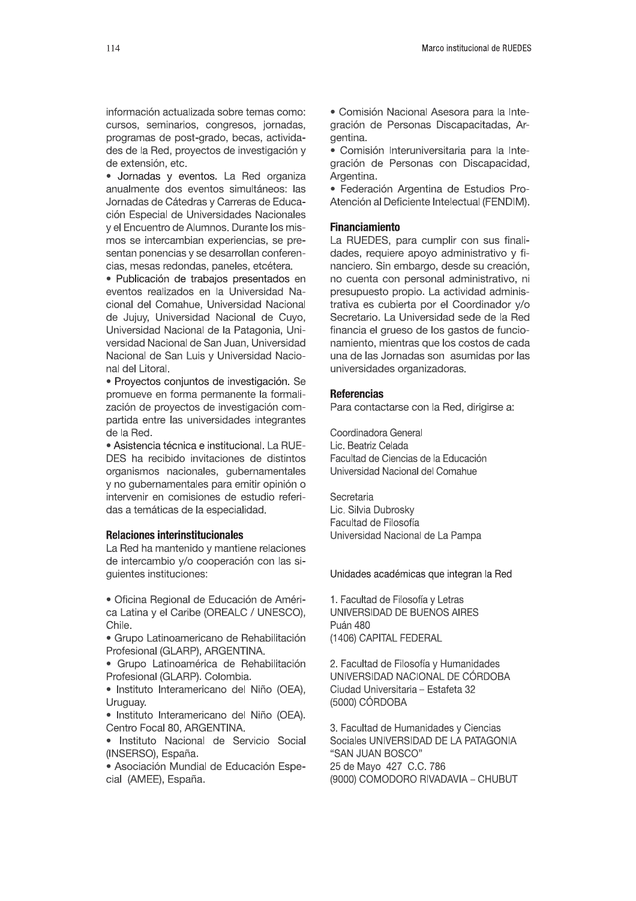información actualizada sobre temas como: cursos, seminarios, congresos, jornadas, programas de post-grado, becas, actividades de la Red, proyectos de investigación y de extensión, etc.

· Jornadas y eventos. La Red organiza anualmente dos eventos simultáneos: las Jornadas de Cátedras y Carreras de Educación Especial de Universidades Nacionales y el Encuentro de Alumnos. Durante los mismos se intercambian experiencias, se presentan ponencias y se desarrollan conferencias, mesas redondas, paneles, etcétera.

· Publicación de trabajos presentados en eventos realizados en la Universidad Nacional del Comahue, Universidad Nacional de Jujuy, Universidad Nacional de Cuyo, Universidad Nacional de la Patagonia, Universidad Nacional de San Juan, Universidad Nacional de San Luis y Universidad Nacional del Litoral.

· Proyectos conjuntos de investigación. Se promueve en forma permanente la formalización de proyectos de investigación compartida entre las universidades integrantes de la Red.

· Asistencia técnica e institucional. La RUE-DES ha recibido invitaciones de distintos organismos nacionales, gubernamentales y no gubernamentales para emitir opinión o intervenir en comisiones de estudio referidas a temáticas de la especialidad.

#### **Relaciones interinstitucionales**

La Red ha mantenido y mantiene relaciones de intercambio y/o cooperación con las siguientes instituciones:

· Oficina Regional de Educación de América Latina y el Caribe (OREALC / UNESCO), Chile.

· Grupo Latinoamericano de Rehabilitación Profesional (GLARP), ARGENTINA.

· Grupo Latinoamérica de Rehabilitación Profesional (GLARP), Colombia,

· Instituto Interamericano del Niño (OEA), Uruguay.

· Instituto Interamericano del Niño (OEA). Centro Focal 80, ARGENTINA.

· Instituto Nacional de Servicio Social (INSERSO), España.

· Asociación Mundial de Educación Especial (AMEE), España.

· Comisión Nacional Asesora para la Integración de Personas Discapacitadas, Argentina.

· Comisión Interuniversitaria para la Integración de Personas con Discapacidad, Argentina.

· Federación Argentina de Estudios Pro-Atención al Deficiente Intelectual (FENDIM).

# **Financiamiento**

La RUEDES, para cumplir con sus finalidades, requiere apoyo administrativo y financiero. Sin embargo, desde su creación, no cuenta con personal administrativo, ni presupuesto propio. La actividad administrativa es cubierta por el Coordinador y/o Secretario. La Universidad sede de la Red financia el grueso de los gastos de funcionamiento, mientras que los costos de cada una de las Jornadas son asumidas por las universidades organizadoras.

## **Referencias**

Para contactarse con la Red, dirigirse a:

Coordinadora General Lic. Beatriz Celada Facultad de Ciencias de la Educación Universidad Nacional del Comahue

Secretaria Lic. Silvia Dubrosky Facultad de Filosofía Universidad Nacional de La Pampa

Unidades académicas que integran la Red

1. Facultad de Filosofía y Letras UNIVERSIDAD DE BUENOS AIRES Puán 480 (1406) CAPITAL FEDERAL

2. Facultad de Filosofía y Humanidades UNIVERSIDAD NACIONAL DE CÓRDOBA Ciudad Universitaria - Estafeta 32 (5000) CÓRDOBA

3. Facultad de Humanidades y Ciencias Sociales UNIVERSIDAD DE LA PATAGONIA "SAN JUAN BOSCO" 25 de Mayo 427 C.C. 786 (9000) COMODORO RIVADAVIA - CHUBUT